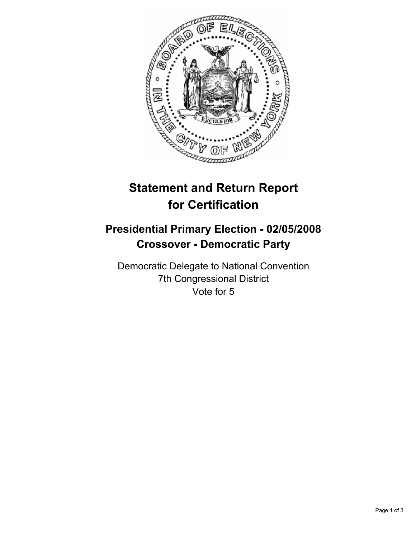

## **Statement and Return Report for Certification**

## **Presidential Primary Election - 02/05/2008 Crossover - Democratic Party**

Democratic Delegate to National Convention 7th Congressional District Vote for 5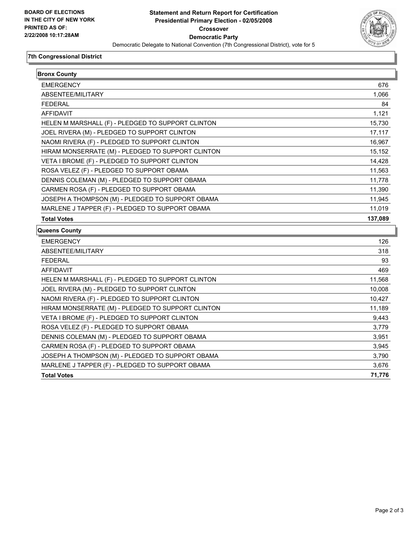

## **7th Congressional District**

| <b>Bronx County</b>                               |         |
|---------------------------------------------------|---------|
| <b>EMERGENCY</b>                                  | 676     |
| ABSENTEE/MILITARY                                 | 1,066   |
| <b>FEDERAL</b>                                    | 84      |
| <b>AFFIDAVIT</b>                                  | 1,121   |
| HELEN M MARSHALL (F) - PLEDGED TO SUPPORT CLINTON | 15,730  |
| JOEL RIVERA (M) - PLEDGED TO SUPPORT CLINTON      | 17,117  |
| NAOMI RIVERA (F) - PLEDGED TO SUPPORT CLINTON     | 16,967  |
| HIRAM MONSERRATE (M) - PLEDGED TO SUPPORT CLINTON | 15,152  |
| VETA I BROME (F) - PLEDGED TO SUPPORT CLINTON     | 14,428  |
| ROSA VELEZ (F) - PLEDGED TO SUPPORT OBAMA         | 11,563  |
| DENNIS COLEMAN (M) - PLEDGED TO SUPPORT OBAMA     | 11,778  |
| CARMEN ROSA (F) - PLEDGED TO SUPPORT OBAMA        | 11,390  |
| JOSEPH A THOMPSON (M) - PLEDGED TO SUPPORT OBAMA  | 11,945  |
| MARLENE J TAPPER (F) - PLEDGED TO SUPPORT OBAMA   | 11,019  |
| <b>Total Votes</b>                                | 137,089 |
| Queens County                                     |         |
| <b>EMERGENCY</b>                                  | 126     |
| ABSENTEE/MILITARY                                 | 318     |
| <b>FEDERAL</b>                                    | 93      |
| AFFIDAVIT                                         | 469     |
| HELEN M MARSHALL (F) - PLEDGED TO SUPPORT CLINTON | 11,568  |
| JOEL RIVERA (M) - PLEDGED TO SUPPORT CLINTON      | 10,008  |
| NAOMI RIVERA (F) - PLEDGED TO SUPPORT CLINTON     | 10,427  |
| HIRAM MONSERRATE (M) - PLEDGED TO SUPPORT CLINTON | 11,189  |
| VETA I BROME (F) - PLEDGED TO SUPPORT CLINTON     | 9,443   |
| ROSA VELEZ (F) - PLEDGED TO SUPPORT OBAMA         | 3,779   |
| DENNIS COLEMAN (M) - PLEDGED TO SUPPORT OBAMA     | 3,951   |
| CARMEN ROSA (F) - PLEDGED TO SUPPORT OBAMA        | 3,945   |
|                                                   |         |
| JOSEPH A THOMPSON (M) - PLEDGED TO SUPPORT OBAMA  | 3,790   |
| MARLENE J TAPPER (F) - PLEDGED TO SUPPORT OBAMA   | 3,676   |
| <b>Total Votes</b>                                | 71,776  |